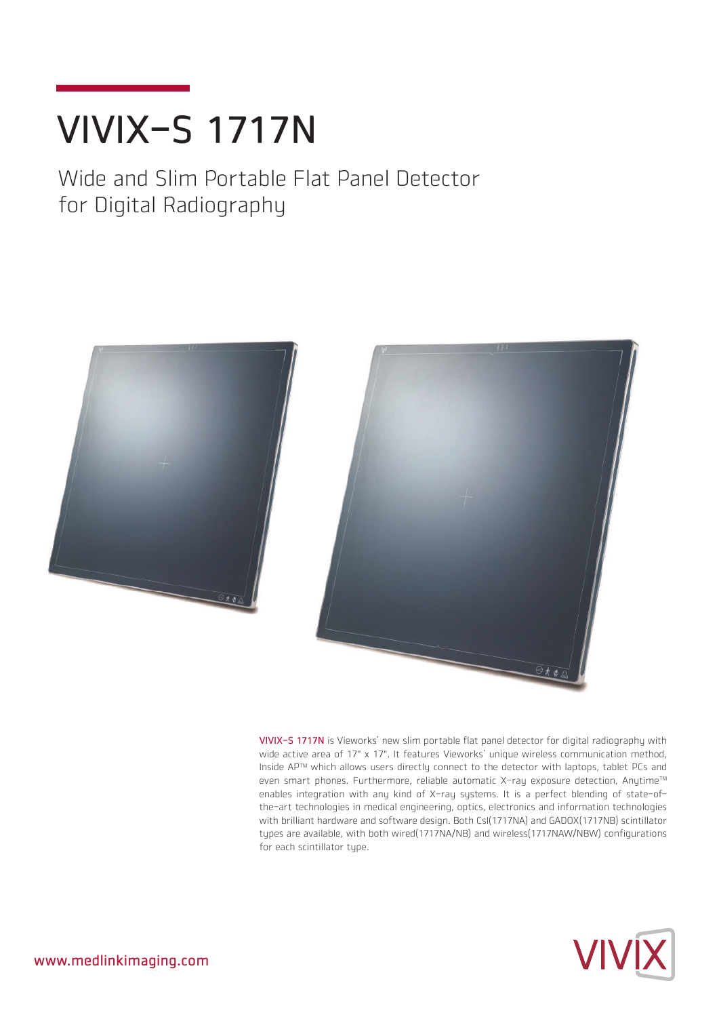# VIVIX-S 1717N

Wide and Slim Portable Flat Panel Detector for Digital Radiography



VIVIX-S 1717N is Vieworks' new slim portable flat panel detector for digital radiography with wide active area of 17" x 17". It features Vieworks' unique wireless communication method, Inside APTM which allows users directly connect to the detector with laptops, tablet PCs and even smart phones. Furthermore, reliable automatic X-ray exposure detection, Anytime™ enables integration with any kind of X-ray systems. It is a perfect blending of state-ofthe-art technologies in medical engineering, optics, electronics and information technologies with brilliant hardware and software design. Both CsI(1717NA) and GADOX(1717NB) scintillator types are available, with both wired(1717NA/NB) and wireless(1717NAW/NBW) configurations for each scintillator type.